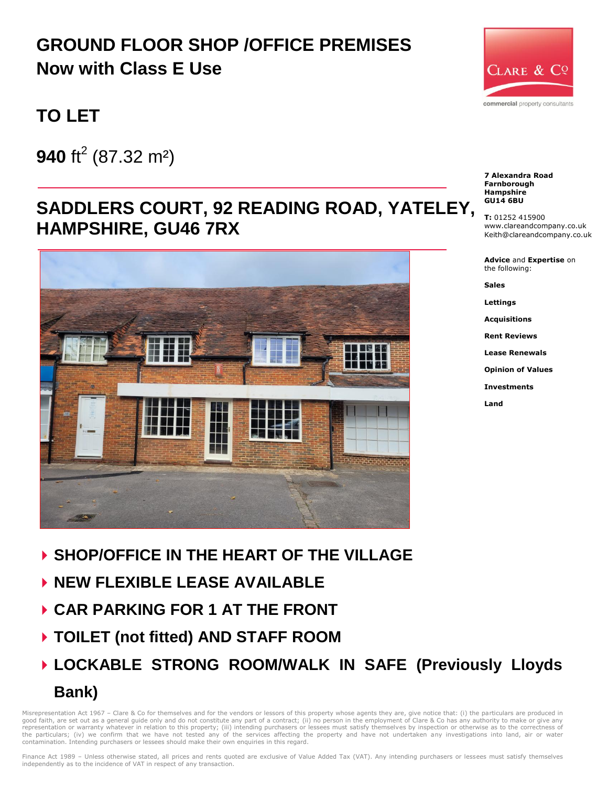# **GROUND FLOOR SHOP /OFFICE PREMISES Now with Class E Use**

# **TO LET**

**940** ft<sup>2</sup> (87.32 m<sup>2</sup>)

## **SADDLERS COURT, 92 READING ROAD, YATELEY, HAMPSHIRE, GU46 7RX**



- **SHOP/OFFICE IN THE HEART OF THE VILLAGE**
- **NEW FLEXIBLE LEASE AVAILABLE**
- **CAR PARKING FOR 1 AT THE FRONT**
- **TOILET (not fitted) AND STAFF ROOM**
- **LOCKABLE STRONG ROOM/WALK IN SAFE (Previously Lloyds Bank)**

Misrepresentation Act 1967 - Clare & Co for themselves and for the vendors or lessors of this property whose agents they are, give notice that: (i) the particulars are produced in good faith, are set out as a general guide only and do not constitute any part of a contract; (ii) no person in the employment of Clare & Co has any authority to make or give any<br>representation or warranty whatever in rela the particulars; (iv) we confirm that we have not tested any of the services affecting the property and have not undertaken any investigations into land, air or water contamination. Intending purchasers or lessees should make their own enquiries in this regard.



**7 Alexandra Road Farnborough Hampshire GU14 6BU**

**T:** 01252 415900 www.clareandcompany.co.uk Keith@clareandcompany.co.uk

**Advice** and **Expertise** on the following:

**Sales**

**Lettings**

**Acquisitions**

**Rent Reviews**

**Lease Renewals**

**Opinion of Values**

**Investments**

**Land**

Finance Act 1989 - Unless otherwise stated, all prices and rents quoted are exclusive of Value Added Tax (VAT). Any intending purchasers or lessees must satisfy themselves independently as to the incidence of VAT in respect of any transaction.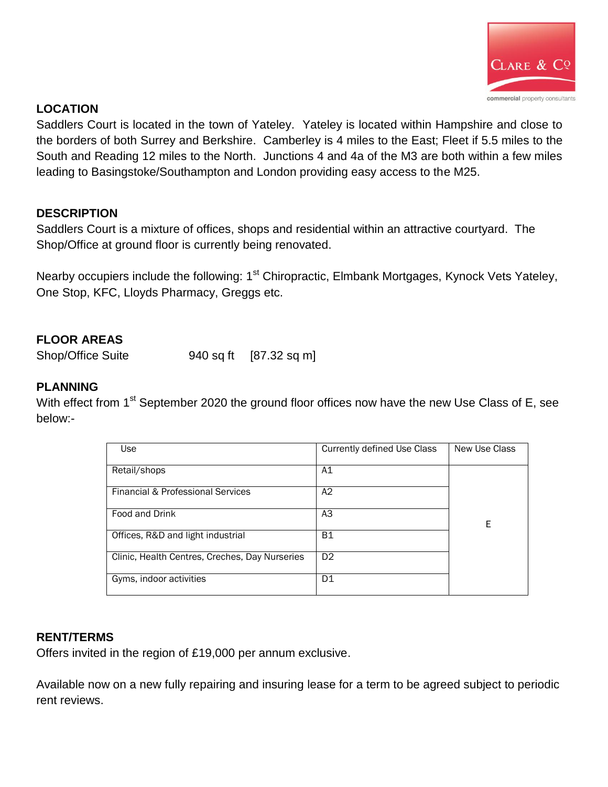

### **LOCATION**

Saddlers Court is located in the town of Yateley. Yateley is located within Hampshire and close to the borders of both Surrey and Berkshire. Camberley is 4 miles to the East; Fleet if 5.5 miles to the South and Reading 12 miles to the North. Junctions 4 and 4a of the M3 are both within a few miles leading to Basingstoke/Southampton and London providing easy access to the M25.

#### **DESCRIPTION**

Saddlers Court is a mixture of offices, shops and residential within an attractive courtyard. The Shop/Office at ground floor is currently being renovated.

Nearby occupiers include the following: 1<sup>st</sup> Chiropractic, Elmbank Mortgages, Kynock Vets Yateley, One Stop, KFC, Lloyds Pharmacy, Greggs etc.

### **FLOOR AREAS**

Shop/Office Suite 940 sq ft [87.32 sq m]

#### **PLANNING**

With effect from 1<sup>st</sup> September 2020 the ground floor offices now have the new Use Class of E, see below:-

| Use                                            | <b>Currently defined Use Class</b> | New Use Class |
|------------------------------------------------|------------------------------------|---------------|
|                                                |                                    |               |
| Retail/shops                                   | A1                                 |               |
|                                                |                                    |               |
|                                                |                                    |               |
| Financial & Professional Services              | A2                                 |               |
|                                                |                                    |               |
| Food and Drink                                 | A <sub>3</sub>                     |               |
|                                                |                                    | Ε             |
| Offices, R&D and light industrial              | B1                                 |               |
|                                                |                                    |               |
| Clinic, Health Centres, Creches, Day Nurseries | D <sub>2</sub>                     |               |
|                                                |                                    |               |
| Gyms, indoor activities                        | D1                                 |               |
|                                                |                                    |               |
|                                                |                                    |               |

#### **RENT/TERMS**

Offers invited in the region of £19,000 per annum exclusive.

Available now on a new fully repairing and insuring lease for a term to be agreed subject to periodic rent reviews.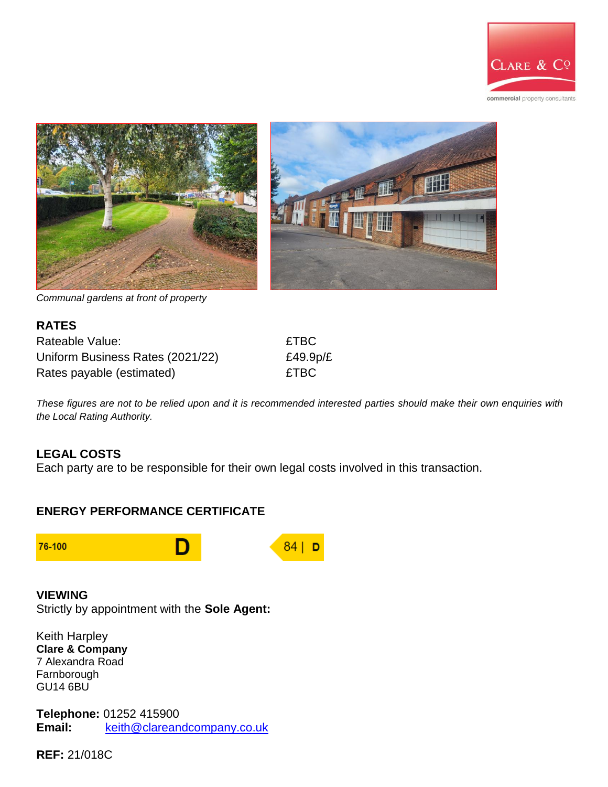



*Communal gardens at front of property*

| <b>RATES</b>                     |       |
|----------------------------------|-------|
| Rateable Value:                  | £TBC  |
| Uniform Business Rates (2021/22) | £49.9 |
| Rates payable (estimated)        | £TBC  |

 $£49.9p/E$ 

*These figures are not to be relied upon and it is recommended interested parties should make their own enquiries with the Local Rating Authority.*

#### **LEGAL COSTS**

Each party are to be responsible for their own legal costs involved in this transaction.

#### **ENERGY PERFORMANCE CERTIFICATE**



#### **VIEWING**

Strictly by appointment with the **Sole Agent:** 

Keith Harpley **Clare & Company** 7 Alexandra Road Farnborough GU14 6BU

**Telephone:** 01252 415900 **Email:** [keith@clareandcompany.co.uk](mailto:keith@clareandcompany.co.uk)

**REF:** 21/018C